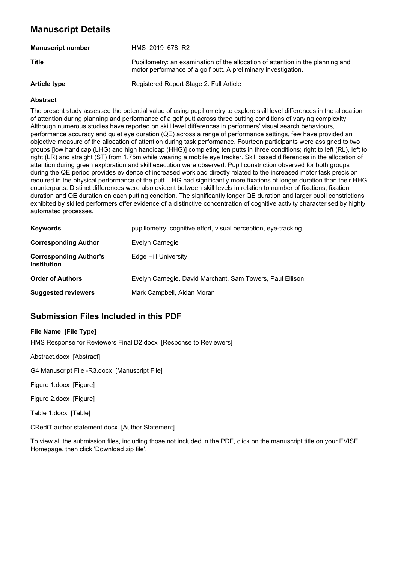# **Manuscript Details**

| <b>Manuscript number</b> | HMS 2019 678 R2                                                                                                                                   |
|--------------------------|---------------------------------------------------------------------------------------------------------------------------------------------------|
| <b>Title</b>             | Pupillometry: an examination of the allocation of attention in the planning and<br>motor performance of a golf putt. A preliminary investigation. |
| <b>Article type</b>      | Registered Report Stage 2: Full Article                                                                                                           |

#### **Abstract**

The present study assessed the potential value of using pupillometry to explore skill level differences in the allocation of attention during planning and performance of a golf putt across three putting conditions of varying complexity. Although numerous studies have reported on skill level differences in performers' visual search behaviours, performance accuracy and quiet eye duration (QE) across a range of performance settings, few have provided an objective measure of the allocation of attention during task performance. Fourteen participants were assigned to two groups [low handicap (LHG) and high handicap (HHG)] completing ten putts in three conditions; right to left (RL), left to right (LR) and straight (ST) from 1.75m while wearing a mobile eye tracker. Skill based differences in the allocation of attention during green exploration and skill execution were observed. Pupil constriction observed for both groups during the QE period provides evidence of increased workload directly related to the increased motor task precision required in the physical performance of the putt. LHG had significantly more fixations of longer duration than their HHG counterparts. Distinct differences were also evident between skill levels in relation to number of fixations, fixation duration and QE duration on each putting condition. The significantly longer QE duration and larger pupil constrictions exhibited by skilled performers offer evidence of a distinctive concentration of cognitive activity characterised by highly automated processes.

| <b>Keywords</b>                                     | pupillometry, cognitive effort, visual perception, eye-tracking |
|-----------------------------------------------------|-----------------------------------------------------------------|
| <b>Corresponding Author</b>                         | Evelyn Carnegie                                                 |
| <b>Corresponding Author's</b><br><b>Institution</b> | Edge Hill University                                            |
| <b>Order of Authors</b>                             | Evelyn Carnegie, David Marchant, Sam Towers, Paul Ellison       |
| <b>Suggested reviewers</b>                          | Mark Campbell, Aidan Moran                                      |

# **Submission Files Included in this PDF**

#### **File Name [File Type]**

HMS Response for Reviewers Final D2.docx [Response to Reviewers]

Abstract.docx [Abstract]

G4 Manuscript File -R3.docx [Manuscript File]

Figure 1.docx [Figure]

Figure 2.docx [Figure]

Table 1.docx [Table]

CRediT author statement.docx [Author Statement]

To view all the submission files, including those not included in the PDF, click on the manuscript title on your EVISE Homepage, then click 'Download zip file'.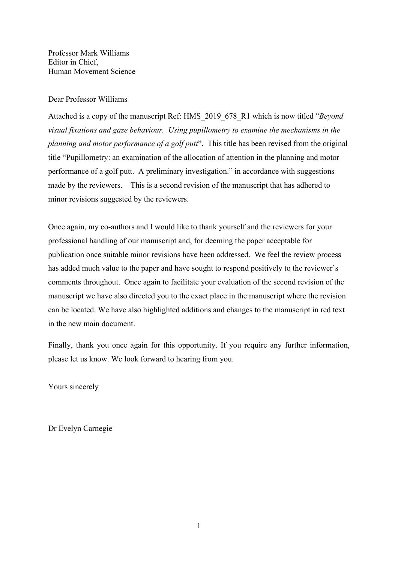Professor Mark Williams Editor in Chief, Human Movement Science

#### Dear Professor Williams

Attached is a copy of the manuscript Ref: HMS\_2019\_678\_R1 which is now titled "*Beyond visual fixations and gaze behaviour. Using pupillometry to examine the mechanisms in the planning and motor performance of a golf putt*". This title has been revised from the original title "Pupillometry: an examination of the allocation of attention in the planning and motor performance of a golf putt. A preliminary investigation." in accordance with suggestions made by the reviewers. This is a second revision of the manuscript that has adhered to minor revisions suggested by the reviewers.

Once again, my co-authors and I would like to thank yourself and the reviewers for your professional handling of our manuscript and, for deeming the paper acceptable for publication once suitable minor revisions have been addressed. We feel the review process has added much value to the paper and have sought to respond positively to the reviewer's comments throughout. Once again to facilitate your evaluation of the second revision of the manuscript we have also directed you to the exact place in the manuscript where the revision can be located. We have also highlighted additions and changes to the manuscript in red text in the new main document.

Finally, thank you once again for this opportunity. If you require any further information, please let us know. We look forward to hearing from you.

Yours sincerely

Dr Evelyn Carnegie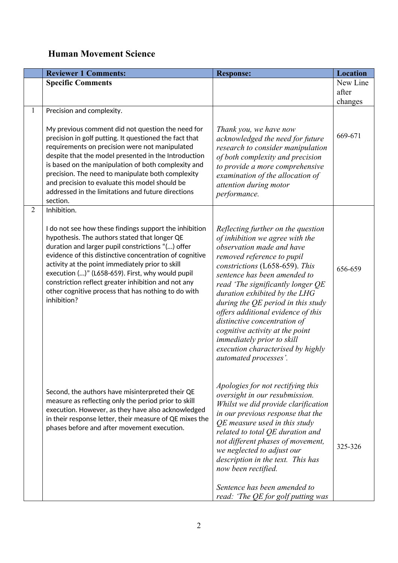# **Human Movement Science**

|                | <b>Reviewer 1 Comments:</b>                                                                                                                                                                                                                                                                                                                                                                                                                                                 | <b>Response:</b>                                                                                                                                                                                                                                                                                                                                                                                                                                                                                                             | <b>Location</b> |
|----------------|-----------------------------------------------------------------------------------------------------------------------------------------------------------------------------------------------------------------------------------------------------------------------------------------------------------------------------------------------------------------------------------------------------------------------------------------------------------------------------|------------------------------------------------------------------------------------------------------------------------------------------------------------------------------------------------------------------------------------------------------------------------------------------------------------------------------------------------------------------------------------------------------------------------------------------------------------------------------------------------------------------------------|-----------------|
|                | <b>Specific Comments</b>                                                                                                                                                                                                                                                                                                                                                                                                                                                    |                                                                                                                                                                                                                                                                                                                                                                                                                                                                                                                              | New Line        |
|                |                                                                                                                                                                                                                                                                                                                                                                                                                                                                             |                                                                                                                                                                                                                                                                                                                                                                                                                                                                                                                              | after           |
| $\mathbf{1}$   | Precision and complexity.                                                                                                                                                                                                                                                                                                                                                                                                                                                   |                                                                                                                                                                                                                                                                                                                                                                                                                                                                                                                              | changes         |
|                | My previous comment did not question the need for<br>precision in golf putting. It questioned the fact that<br>requirements on precision were not manipulated<br>despite that the model presented in the Introduction<br>is based on the manipulation of both complexity and<br>precision. The need to manipulate both complexity<br>and precision to evaluate this model should be<br>addressed in the limitations and future directions<br>section.                       | Thank you, we have now<br>acknowledged the need for future<br>research to consider manipulation<br>of both complexity and precision<br>to provide a more comprehensive<br>examination of the allocation of<br>attention during motor<br>performance.                                                                                                                                                                                                                                                                         | 669-671         |
| $\overline{2}$ | Inhibition.<br>I do not see how these findings support the inhibition<br>hypothesis. The authors stated that longer QE<br>duration and larger pupil constrictions "() offer<br>evidence of this distinctive concentration of cognitive<br>activity at the point immediately prior to skill<br>execution ()" (L658-659). First, why would pupil<br>constriction reflect greater inhibition and not any<br>other cognitive process that has nothing to do with<br>inhibition? | Reflecting further on the question<br>of inhibition we agree with the<br>observation made and have<br>removed reference to pupil<br>constrictions (L658-659). This<br>sentence has been amended to<br>read 'The significantly longer QE<br>duration exhibited by the LHG<br>during the $QE$ period in this study<br>offers additional evidence of this<br>distinctive concentration of<br>cognitive activity at the point<br><i>immediately prior to skill</i><br>execution characterised by highly<br>automated processes'. | 656-659         |
|                | Second, the authors have misinterpreted their QE<br>measure as reflecting only the period prior to skill<br>execution. However, as they have also acknowledged<br>in their response letter, their measure of QE mixes the<br>phases before and after movement execution.                                                                                                                                                                                                    | Apologies for not rectifying this<br>oversight in our resubmission.<br>Whilst we did provide clarification<br>in our previous response that the<br>QE measure used in this study<br>related to total QE duration and<br>not different phases of movement,<br>we neglected to adjust our<br>description in the text. This has<br>now been rectified.<br>Sentence has been amended to<br>read: 'The QE for golf putting was                                                                                                    | 325-326         |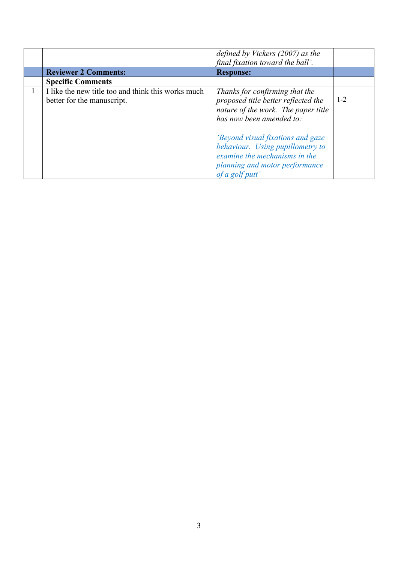| <b>Reviewer 2 Comments:</b>                                                      | defined by Vickers $(2007)$ as the<br>final fixation toward the ball'.                                                                                             |         |
|----------------------------------------------------------------------------------|--------------------------------------------------------------------------------------------------------------------------------------------------------------------|---------|
|                                                                                  | <b>Response:</b>                                                                                                                                                   |         |
| <b>Specific Comments</b>                                                         |                                                                                                                                                                    |         |
| I like the new title too and think this works much<br>better for the manuscript. | Thanks for confirming that the<br>proposed title better reflected the<br>nature of the work. The paper title<br>has now been amended to:                           | $1 - 2$ |
|                                                                                  | <i>'Beyond visual fixations and gaze</i><br>behaviour. Using pupillometry to<br>examine the mechanisms in the<br>planning and motor performance<br>of a golf putt' |         |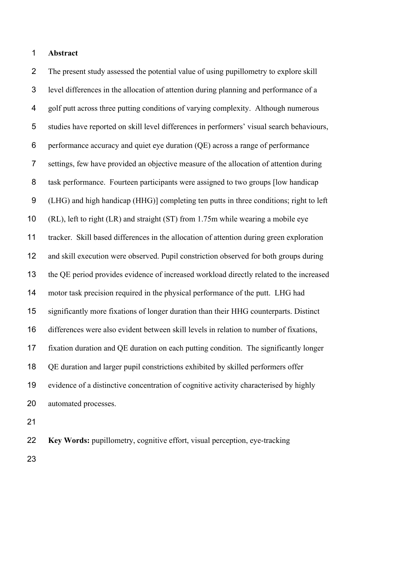#### **Abstract**

 The present study assessed the potential value of using pupillometry to explore skill level differences in the allocation of attention during planning and performance of a golf putt across three putting conditions of varying complexity. Although numerous studies have reported on skill level differences in performers' visual search behaviours, performance accuracy and quiet eye duration (QE) across a range of performance settings, few have provided an objective measure of the allocation of attention during task performance. Fourteen participants were assigned to two groups [low handicap (LHG) and high handicap (HHG)] completing ten putts in three conditions; right to left (RL), left to right (LR) and straight (ST) from 1.75m while wearing a mobile eye tracker. Skill based differences in the allocation of attention during green exploration and skill execution were observed. Pupil constriction observed for both groups during the QE period provides evidence of increased workload directly related to the increased motor task precision required in the physical performance of the putt. LHG had significantly more fixations of longer duration than their HHG counterparts. Distinct differences were also evident between skill levels in relation to number of fixations, fixation duration and QE duration on each putting condition. The significantly longer QE duration and larger pupil constrictions exhibited by skilled performers offer evidence of a distinctive concentration of cognitive activity characterised by highly automated processes.

**Key Words:** pupillometry, cognitive effort, visual perception, eye-tracking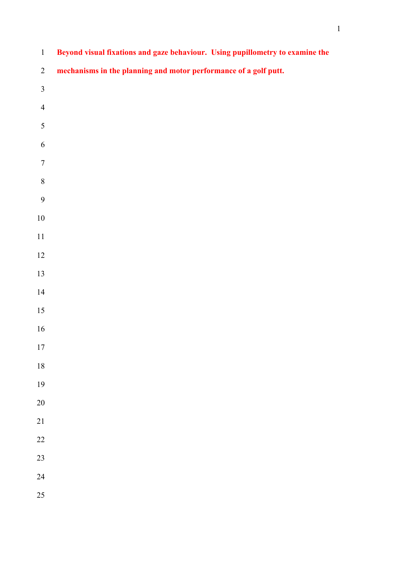| $\mathbf{1}$     | Beyond visual fixations and gaze behaviour. Using pupillometry to examine the |
|------------------|-------------------------------------------------------------------------------|
| $\overline{2}$   | mechanisms in the planning and motor performance of a golf putt.              |
| $\overline{3}$   |                                                                               |
| $\overline{4}$   |                                                                               |
| $\sqrt{5}$       |                                                                               |
| $\sqrt{6}$       |                                                                               |
| $\boldsymbol{7}$ |                                                                               |
| $\,8\,$          |                                                                               |
| $\boldsymbol{9}$ |                                                                               |
| $10\,$           |                                                                               |
| $11\,$           |                                                                               |
| $12\,$           |                                                                               |
| 13               |                                                                               |
| 14               |                                                                               |
| 15               |                                                                               |
| $16\,$           |                                                                               |
| 17               |                                                                               |
| 18               |                                                                               |
| 19               |                                                                               |
| $20\,$           |                                                                               |
| $21\,$           |                                                                               |
| $22\,$           |                                                                               |
| $23\,$           |                                                                               |
| 24               |                                                                               |
| 25               |                                                                               |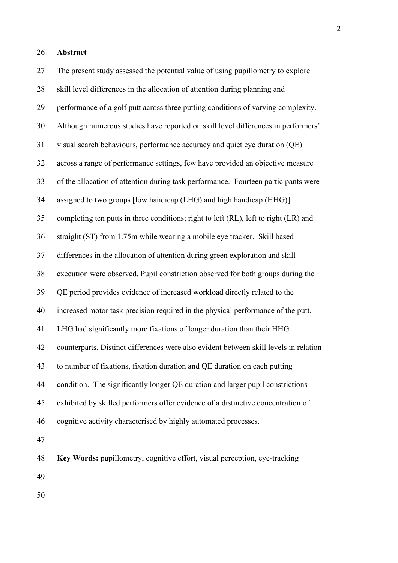27 The present study assessed the potential value of using pupillometry to explore 28 skill level differences in the allocation of attention during planning and 29 performance of a golf putt across three putting conditions of varying complexity. 30 Although numerous studies have reported on skill level differences in performers' 31 visual search behaviours, performance accuracy and quiet eye duration (QE) 32 across a range of performance settings, few have provided an objective measure 33 of the allocation of attention during task performance. Fourteen participants were 34 assigned to two groups [low handicap (LHG) and high handicap (HHG)] 35 completing ten putts in three conditions; right to left (RL), left to right (LR) and 36 straight (ST) from 1.75m while wearing a mobile eye tracker. Skill based 37 differences in the allocation of attention during green exploration and skill 38 execution were observed. Pupil constriction observed for both groups during the 39 QE period provides evidence of increased workload directly related to the 40 increased motor task precision required in the physical performance of the putt. 41 LHG had significantly more fixations of longer duration than their HHG 42 counterparts. Distinct differences were also evident between skill levels in relation 43 to number of fixations, fixation duration and QE duration on each putting 44 condition. The significantly longer QE duration and larger pupil constrictions 45 exhibited by skilled performers offer evidence of a distinctive concentration of 46 cognitive activity characterised by highly automated processes. 47 48 **Key Words:** pupillometry, cognitive effort, visual perception, eye-tracking 49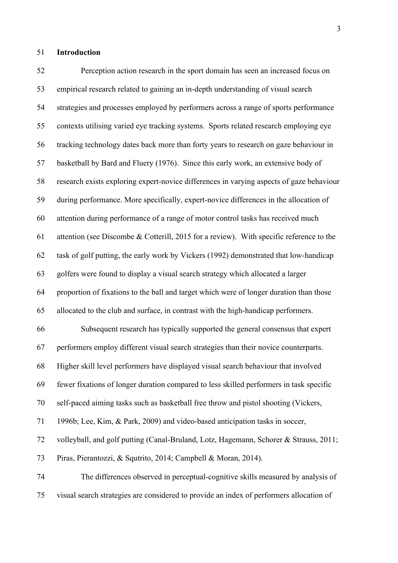#### 51 **Introduction**

52 Perception action research in the sport domain has seen an increased focus on 53 empirical research related to gaining an in-depth understanding of visual search 54 strategies and processes employed by performers across a range of sports performance 55 contexts utilising varied eye tracking systems. Sports related research employing eye 56 tracking technology dates back more than forty years to research on gaze behaviour in 57 basketball by Bard and Fluery (1976). Since this early work, an extensive body of 58 research exists exploring expert-novice differences in varying aspects of gaze behaviour 59 during performance. More specifically, expert-novice differences in the allocation of 60 attention during performance of a range of motor control tasks has received much 61 attention (see Discombe & Cotterill, 2015 for a review). With specific reference to the 62 task of golf putting, the early work by Vickers (1992) demonstrated that low-handicap 63 golfers were found to display a visual search strategy which allocated a larger 64 proportion of fixations to the ball and target which were of longer duration than those 65 allocated to the club and surface, in contrast with the high-handicap performers. 66 Subsequent research has typically supported the general consensus that expert 67 performers employ different visual search strategies than their novice counterparts. 68 Higher skill level performers have displayed visual search behaviour that involved 69 fewer fixations of longer duration compared to less skilled performers in task specific 70 self-paced aiming tasks such as basketball free throw and pistol shooting (Vickers, 71 1996b; Lee, Kim, & Park, 2009) and video-based anticipation tasks in soccer, 72 volleyball, and golf putting (Canal-Bruland, Lotz, Hagemann, Schorer & Strauss, 2011; 73 Piras, Pierantozzi, & Squtrito, 2014; Campbell & Moran, 2014). 74 The differences observed in perceptual-cognitive skills measured by analysis of 75 visual search strategies are considered to provide an index of performers allocation of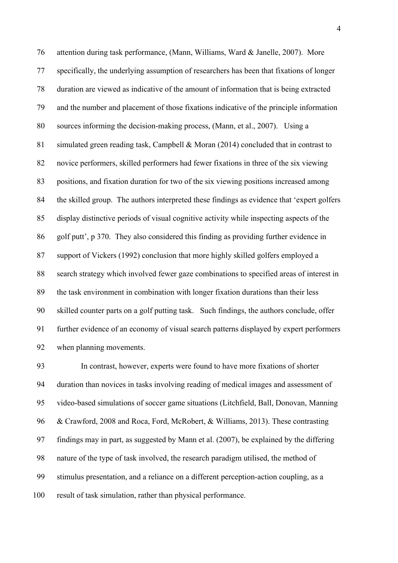76 attention during task performance, (Mann, Williams, Ward & Janelle, 2007). More 77 specifically, the underlying assumption of researchers has been that fixations of longer 78 duration are viewed as indicative of the amount of information that is being extracted 79 and the number and placement of those fixations indicative of the principle information 80 sources informing the decision-making process, (Mann, et al., 2007). Using a 81 simulated green reading task, Campbell & Moran (2014) concluded that in contrast to 82 novice performers, skilled performers had fewer fixations in three of the six viewing 83 positions, and fixation duration for two of the six viewing positions increased among 84 the skilled group. The authors interpreted these findings as evidence that 'expert golfers 85 display distinctive periods of visual cognitive activity while inspecting aspects of the 86 golf putt', p 370. They also considered this finding as providing further evidence in 87 support of Vickers (1992) conclusion that more highly skilled golfers employed a 88 search strategy which involved fewer gaze combinations to specified areas of interest in 89 the task environment in combination with longer fixation durations than their less 90 skilled counter parts on a golf putting task. Such findings, the authors conclude, offer 91 further evidence of an economy of visual search patterns displayed by expert performers 92 when planning movements.

93 In contrast, however, experts were found to have more fixations of shorter 94 duration than novices in tasks involving reading of medical images and assessment of 95 video-based simulations of soccer game situations (Litchfield, Ball, Donovan, Manning 96 & Crawford, 2008 and Roca, Ford, McRobert, & Williams, 2013). These contrasting 97 findings may in part, as suggested by Mann et al. (2007), be explained by the differing 98 nature of the type of task involved, the research paradigm utilised, the method of 99 stimulus presentation, and a reliance on a different perception-action coupling, as a 100 result of task simulation, rather than physical performance.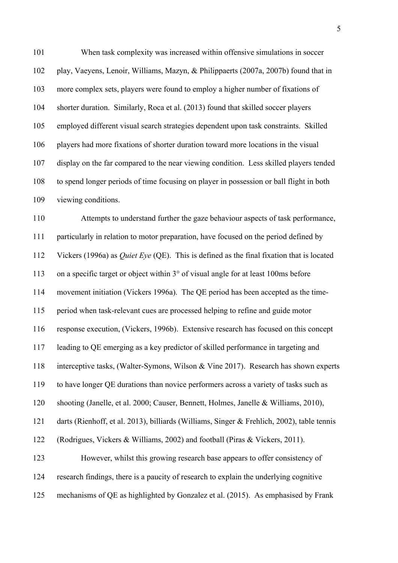101 When task complexity was increased within offensive simulations in soccer 102 play, Vaeyens, Lenoir, Williams, Mazyn, & Philippaerts (2007a, 2007b) found that in 103 more complex sets, players were found to employ a higher number of fixations of 104 shorter duration. Similarly, Roca et al. (2013) found that skilled soccer players 105 employed different visual search strategies dependent upon task constraints. Skilled 106 players had more fixations of shorter duration toward more locations in the visual 107 display on the far compared to the near viewing condition. Less skilled players tended 108 to spend longer periods of time focusing on player in possession or ball flight in both 109 viewing conditions.

110 Attempts to understand further the gaze behaviour aspects of task performance, 111 particularly in relation to motor preparation, have focused on the period defined by 112 Vickers (1996a) as *Quiet Eye* (QE). This is defined as the final fixation that is located 113 on a specific target or object within 3° of visual angle for at least 100ms before 114 movement initiation (Vickers 1996a). The QE period has been accepted as the time-115 period when task-relevant cues are processed helping to refine and guide motor 116 response execution, (Vickers, 1996b). Extensive research has focused on this concept 117 leading to QE emerging as a key predictor of skilled performance in targeting and 118 interceptive tasks, (Walter-Symons, Wilson & Vine 2017). Research has shown experts 119 to have longer QE durations than novice performers across a variety of tasks such as 120 shooting (Janelle, et al. 2000; Causer, Bennett, Holmes, Janelle & Williams, 2010), 121 darts (Rienhoff, et al. 2013), billiards (Williams, Singer & Frehlich, 2002), table tennis 122 (Rodrigues, Vickers & Williams, 2002) and football (Piras & Vickers, 2011). 123 However, whilst this growing research base appears to offer consistency of 124 research findings, there is a paucity of research to explain the underlying cognitive 125 mechanisms of QE as highlighted by Gonzalez et al. (2015). As emphasised by Frank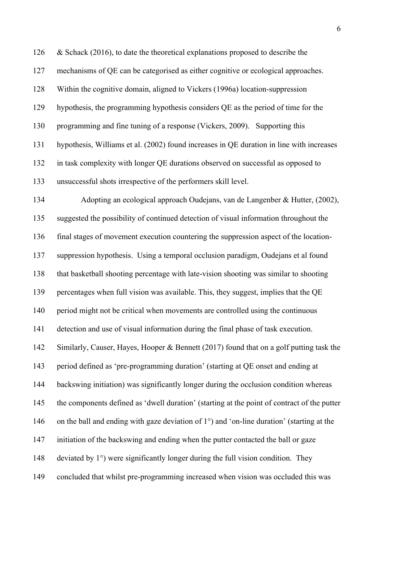126 & Schack (2016), to date the theoretical explanations proposed to describe the 127 mechanisms of QE can be categorised as either cognitive or ecological approaches. 128 Within the cognitive domain, aligned to Vickers (1996a) location-suppression 129 hypothesis, the programming hypothesis considers QE as the period of time for the 130 programming and fine tuning of a response (Vickers, 2009). Supporting this 131 hypothesis, Williams et al. (2002) found increases in QE duration in line with increases 132 in task complexity with longer QE durations observed on successful as opposed to 133 unsuccessful shots irrespective of the performers skill level.

134 Adopting an ecological approach Oudejans, van de Langenber & Hutter, (2002), 135 suggested the possibility of continued detection of visual information throughout the 136 final stages of movement execution countering the suppression aspect of the location-137 suppression hypothesis. Using a temporal occlusion paradigm, Oudejans et al found 138 that basketball shooting percentage with late-vision shooting was similar to shooting 139 percentages when full vision was available. This, they suggest, implies that the QE 140 period might not be critical when movements are controlled using the continuous 141 detection and use of visual information during the final phase of task execution. 142 Similarly, Causer, Hayes, Hooper & Bennett (2017) found that on a golf putting task the 143 period defined as 'pre-programming duration' (starting at QE onset and ending at 144 backswing initiation) was significantly longer during the occlusion condition whereas 145 the components defined as 'dwell duration' (starting at the point of contract of the putter 146 on the ball and ending with gaze deviation of 1°) and 'on-line duration' (starting at the 147 initiation of the backswing and ending when the putter contacted the ball or gaze 148 deviated by 1°) were significantly longer during the full vision condition. They 149 concluded that whilst pre-programming increased when vision was occluded this was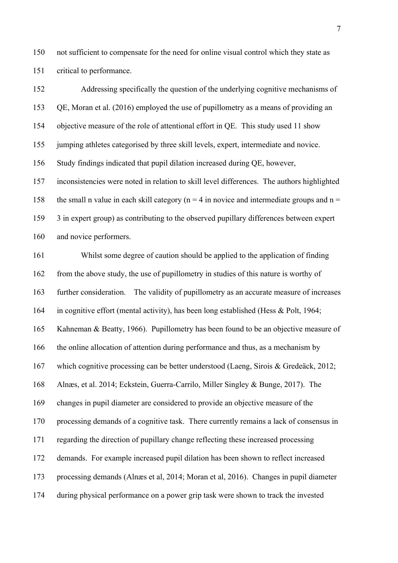150 not sufficient to compensate for the need for online visual control which they state as 151 critical to performance.

152 Addressing specifically the question of the underlying cognitive mechanisms of 153 QE, Moran et al. (2016) employed the use of pupillometry as a means of providing an 154 objective measure of the role of attentional effort in QE. This study used 11 show 155 jumping athletes categorised by three skill levels, expert, intermediate and novice. 156 Study findings indicated that pupil dilation increased during QE, however, 157 inconsistencies were noted in relation to skill level differences. The authors highlighted 158 the small n value in each skill category ( $n = 4$  in novice and intermediate groups and  $n =$ 159 3 in expert group) as contributing to the observed pupillary differences between expert 160 and novice performers.

161 Whilst some degree of caution should be applied to the application of finding 162 from the above study, the use of pupillometry in studies of this nature is worthy of 163 further consideration. The validity of pupillometry as an accurate measure of increases 164 in cognitive effort (mental activity), has been long established (Hess & Polt, 1964; 165 Kahneman & Beatty, 1966). Pupillometry has been found to be an objective measure of 166 the online allocation of attention during performance and thus, as a mechanism by 167 which cognitive processing can be better understood (Laeng, Sirois & Gredeäck, 2012; 168 Alnæs, et al. 2014; Eckstein, Guerra-Carrilo, Miller Singley & Bunge, 2017). The 169 changes in pupil diameter are considered to provide an objective measure of the 170 processing demands of a cognitive task. There currently remains a lack of consensus in 171 regarding the direction of pupillary change reflecting these increased processing 172 demands. For example increased pupil dilation has been shown to reflect increased 173 processing demands (Alnæs et al, 2014; Moran et al, 2016). Changes in pupil diameter 174 during physical performance on a power grip task were shown to track the invested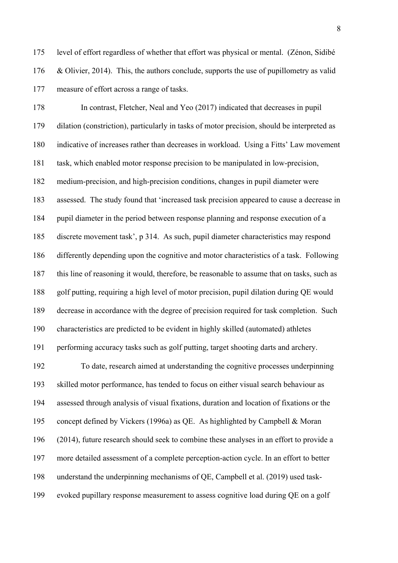175 level of effort regardless of whether that effort was physical or mental. (Zénon, Sidibé 176 & Olivier, 2014). This, the authors conclude, supports the use of pupillometry as valid 177 measure of effort across a range of tasks.

178 In contrast, Fletcher, Neal and Yeo (2017) indicated that decreases in pupil 179 dilation (constriction), particularly in tasks of motor precision, should be interpreted as 180 indicative of increases rather than decreases in workload. Using a Fitts' Law movement 181 task, which enabled motor response precision to be manipulated in low-precision, 182 medium-precision, and high-precision conditions, changes in pupil diameter were 183 assessed. The study found that 'increased task precision appeared to cause a decrease in 184 pupil diameter in the period between response planning and response execution of a 185 discrete movement task', p 314. As such, pupil diameter characteristics may respond 186 differently depending upon the cognitive and motor characteristics of a task. Following 187 this line of reasoning it would, therefore, be reasonable to assume that on tasks, such as 188 golf putting, requiring a high level of motor precision, pupil dilation during QE would 189 decrease in accordance with the degree of precision required for task completion. Such 190 characteristics are predicted to be evident in highly skilled (automated) athletes 191 performing accuracy tasks such as golf putting, target shooting darts and archery.

192 To date, research aimed at understanding the cognitive processes underpinning 193 skilled motor performance, has tended to focus on either visual search behaviour as 194 assessed through analysis of visual fixations, duration and location of fixations or the 195 concept defined by Vickers (1996a) as QE. As highlighted by Campbell & Moran 196 (2014), future research should seek to combine these analyses in an effort to provide a 197 more detailed assessment of a complete perception-action cycle. In an effort to better 198 understand the underpinning mechanisms of QE, Campbell et al. (2019) used task-199 evoked pupillary response measurement to assess cognitive load during QE on a golf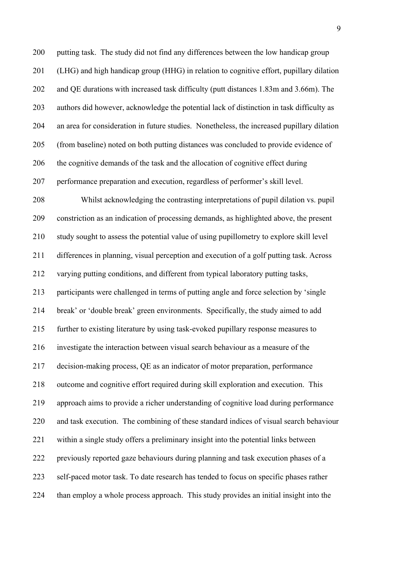200 putting task. The study did not find any differences between the low handicap group 201 (LHG) and high handicap group (HHG) in relation to cognitive effort, pupillary dilation 202 and QE durations with increased task difficulty (putt distances 1.83m and 3.66m). The 203 authors did however, acknowledge the potential lack of distinction in task difficulty as 204 an area for consideration in future studies. Nonetheless, the increased pupillary dilation 205 (from baseline) noted on both putting distances was concluded to provide evidence of 206 the cognitive demands of the task and the allocation of cognitive effect during 207 performance preparation and execution, regardless of performer's skill level.

208 Whilst acknowledging the contrasting interpretations of pupil dilation vs. pupil 209 constriction as an indication of processing demands, as highlighted above, the present 210 study sought to assess the potential value of using pupillometry to explore skill level 211 differences in planning, visual perception and execution of a golf putting task. Across 212 varying putting conditions, and different from typical laboratory putting tasks, 213 participants were challenged in terms of putting angle and force selection by 'single 214 break' or 'double break' green environments. Specifically, the study aimed to add 215 further to existing literature by using task-evoked pupillary response measures to 216 investigate the interaction between visual search behaviour as a measure of the 217 decision-making process, QE as an indicator of motor preparation, performance 218 outcome and cognitive effort required during skill exploration and execution. This 219 approach aims to provide a richer understanding of cognitive load during performance 220 and task execution. The combining of these standard indices of visual search behaviour 221 within a single study offers a preliminary insight into the potential links between 222 previously reported gaze behaviours during planning and task execution phases of a 223 self-paced motor task. To date research has tended to focus on specific phases rather 224 than employ a whole process approach. This study provides an initial insight into the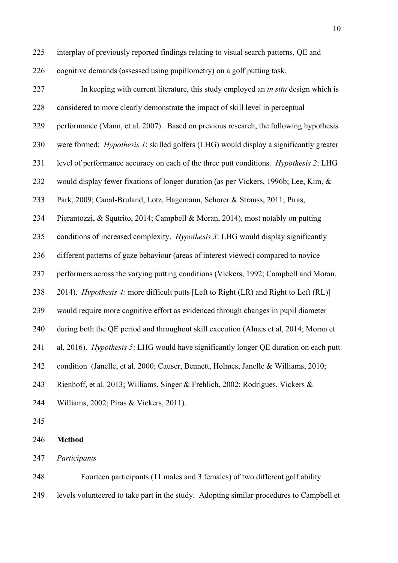225 interplay of previously reported findings relating to visual search patterns, QE and 226 cognitive demands (assessed using pupillometry) on a golf putting task.

227 In keeping with current literature, this study employed an *in situ* design which is 228 considered to more clearly demonstrate the impact of skill level in perceptual 229 performance (Mann, et al. 2007). Based on previous research, the following hypothesis 230 were formed: *Hypothesis 1*: skilled golfers (LHG) would display a significantly greater 231 level of performance accuracy on each of the three putt conditions. *Hypothesis 2*: LHG 232 would display fewer fixations of longer duration (as per Vickers, 1996b; Lee, Kim, & 233 Park, 2009; Canal-Bruland, Lotz, Hagemann, Schorer & Strauss, 2011; Piras, 234 Pierantozzi, & Squtrito, 2014; Campbell & Moran, 2014), most notably on putting 235 conditions of increased complexity. *Hypothesis 3*: LHG would display significantly 236 different patterns of gaze behaviour (areas of interest viewed) compared to novice 237 performers across the varying putting conditions (Vickers, 1992; Campbell and Moran, 238 2014). *Hypothesis 4:* more difficult putts [Left to Right (LR) and Right to Left (RL)] 239 would require more cognitive effort as evidenced through changes in pupil diameter 240 during both the QE period and throughout skill execution (Alnæs et al, 2014; Moran et 241 al, 2016). *Hypothesis 5*: LHG would have significantly longer QE duration on each putt 242 condition (Janelle, et al. 2000; Causer, Bennett, Holmes, Janelle & Williams, 2010; 243 Rienhoff, et al. 2013; Williams, Singer & Frehlich, 2002; Rodrigues, Vickers & 244 Williams, 2002; Piras & Vickers, 2011). 245

246 **Method**

247 *Participants*

248 Fourteen participants (11 males and 3 females) of two different golf ability 249 levels volunteered to take part in the study. Adopting similar procedures to Campbell et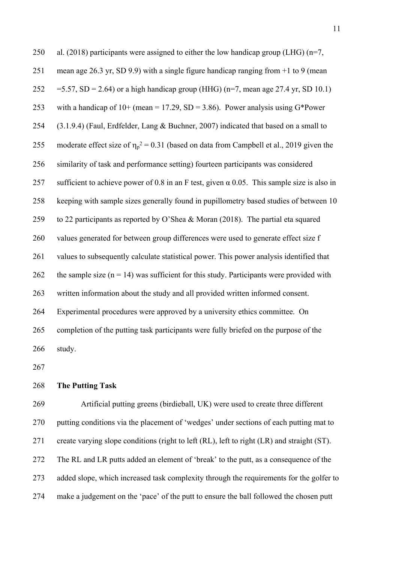| 250 | al. (2018) participants were assigned to either the low handicap group (LHG) $(n=7, 1)$           |
|-----|---------------------------------------------------------------------------------------------------|
| 251 | mean age 26.3 yr, SD 9.9) with a single figure handicap ranging from $+1$ to 9 (mean              |
| 252 | =5.57, SD = 2.64) or a high handicap group (HHG) ( $n=7$ , mean age 27.4 yr, SD 10.1)             |
| 253 | with a handicap of $10+$ (mean = 17.29, SD = 3.86). Power analysis using G*Power                  |
| 254 | (3.1.9.4) (Faul, Erdfelder, Lang & Buchner, 2007) indicated that based on a small to              |
| 255 | moderate effect size of $\eta_p^2 = 0.31$ (based on data from Campbell et al., 2019 given the     |
| 256 | similarity of task and performance setting) fourteen participants was considered                  |
| 257 | sufficient to achieve power of 0.8 in an F test, given $\alpha$ 0.05. This sample size is also in |
| 258 | keeping with sample sizes generally found in pupillometry based studies of between 10             |
| 259 | to 22 participants as reported by O'Shea & Moran (2018). The partial eta squared                  |
| 260 | values generated for between group differences were used to generate effect size f                |
| 261 | values to subsequently calculate statistical power. This power analysis identified that           |
| 262 | the sample size $(n = 14)$ was sufficient for this study. Participants were provided with         |
| 263 | written information about the study and all provided written informed consent.                    |
| 264 | Experimental procedures were approved by a university ethics committee. On                        |
| 265 | completion of the putting task participants were fully briefed on the purpose of the              |
| 266 | study.                                                                                            |

267

### 268 **The Putting Task**

269 Artificial putting greens (birdieball, UK) were used to create three different 270 putting conditions via the placement of 'wedges' under sections of each putting mat to 271 create varying slope conditions (right to left (RL), left to right (LR) and straight (ST). 272 The RL and LR putts added an element of 'break' to the putt, as a consequence of the 273 added slope, which increased task complexity through the requirements for the golfer to 274 make a judgement on the 'pace' of the putt to ensure the ball followed the chosen putt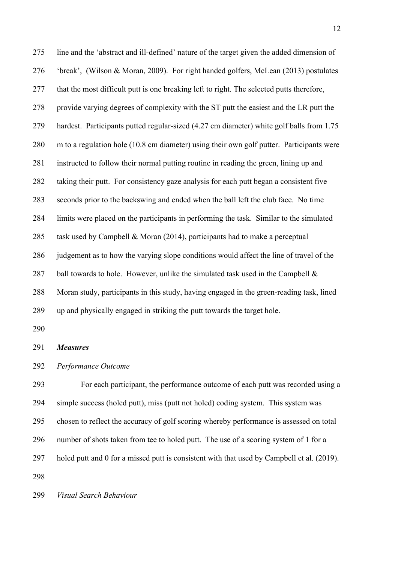275 line and the 'abstract and ill-defined' nature of the target given the added dimension of 276 'break', (Wilson & Moran, 2009). For right handed golfers, McLean (2013) postulates 277 that the most difficult putt is one breaking left to right. The selected putts therefore, 278 provide varying degrees of complexity with the ST putt the easiest and the LR putt the 279 hardest. Participants putted regular-sized (4.27 cm diameter) white golf balls from 1.75 280 m to a regulation hole (10.8 cm diameter) using their own golf putter. Participants were 281 instructed to follow their normal putting routine in reading the green, lining up and 282 taking their putt. For consistency gaze analysis for each putt began a consistent five 283 seconds prior to the backswing and ended when the ball left the club face. No time 284 limits were placed on the participants in performing the task. Similar to the simulated 285 task used by Campbell & Moran (2014), participants had to make a perceptual 286 judgement as to how the varying slope conditions would affect the line of travel of the 287 ball towards to hole. However, unlike the simulated task used in the Campbell  $\&$ 288 Moran study, participants in this study, having engaged in the green-reading task, lined 289 up and physically engaged in striking the putt towards the target hole.

290

#### 291 *Measures*

#### 292 *Performance Outcome*

293 For each participant, the performance outcome of each putt was recorded using a 294 simple success (holed putt), miss (putt not holed) coding system. This system was 295 chosen to reflect the accuracy of golf scoring whereby performance is assessed on total 296 number of shots taken from tee to holed putt. The use of a scoring system of 1 for a 297 holed putt and 0 for a missed putt is consistent with that used by Campbell et al. (2019). 298

299 *Visual Search Behaviour*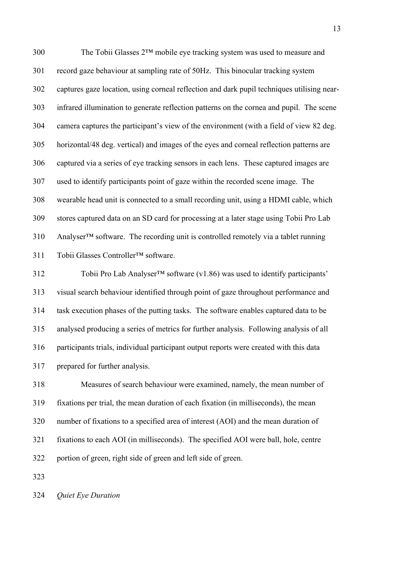300 The Tobii Glasses 2™ mobile eye tracking system was used to measure and 301 record gaze behaviour at sampling rate of 50Hz. This binocular tracking system 302 captures gaze location, using corneal reflection and dark pupil techniques utilising near-303 infrared illumination to generate reflection patterns on the cornea and pupil. The scene 304 camera captures the participant's view of the environment (with a field of view 82 deg. 305 horizontal/48 deg. vertical) and images of the eyes and corneal reflection patterns are 306 captured via a series of eye tracking sensors in each lens. These captured images are 307 used to identify participants point of gaze within the recorded scene image. The 308 wearable head unit is connected to a small recording unit, using a HDMI cable, which 309 stores captured data on an SD card for processing at a later stage using Tobii Pro Lab 310 Analyser™ software. The recording unit is controlled remotely via a tablet running 311 Tobii Glasses Controller™ software.

312 Tobii Pro Lab Analyser™ software (v1.86) was used to identify participants' 313 visual search behaviour identified through point of gaze throughout performance and 314 task execution phases of the putting tasks. The software enables captured data to be 315 analysed producing a series of metrics for further analysis. Following analysis of all 316 participants trials, individual participant output reports were created with this data 317 prepared for further analysis.

318 Measures of search behaviour were examined, namely, the mean number of 319 fixations per trial, the mean duration of each fixation (in milliseconds), the mean 320 number of fixations to a specified area of interest (AOI) and the mean duration of 321 fixations to each AOI (in milliseconds). The specified AOI were ball, hole, centre 322 portion of green, right side of green and left side of green.

323

324 *Quiet Eye Duration*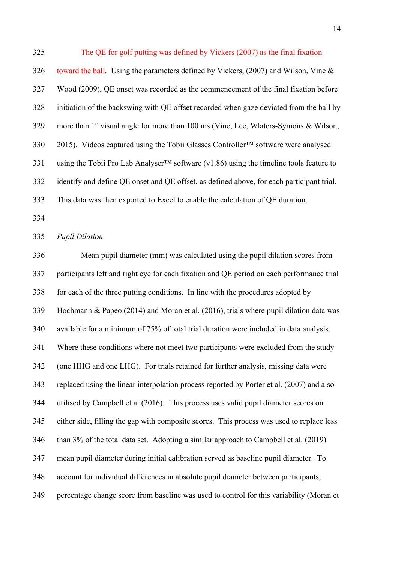325 The QE for golf putting was defined by Vickers (2007) as the final fixation 326 toward the ball. Using the parameters defined by Vickers, (2007) and Wilson, Vine & 327 Wood (2009), QE onset was recorded as the commencement of the final fixation before 328 initiation of the backswing with QE offset recorded when gaze deviated from the ball by 329 more than 1° visual angle for more than 100 ms (Vine, Lee, Wlaters-Symons & Wilson, 330 2015). Videos captured using the Tobii Glasses Controller™ software were analysed 331 using the Tobii Pro Lab Analyser™ software (v1.86) using the timeline tools feature to 332 identify and define QE onset and QE offset, as defined above, for each participant trial. 333 This data was then exported to Excel to enable the calculation of QE duration.

334

#### 335 *Pupil Dilation*

336 Mean pupil diameter (mm) was calculated using the pupil dilation scores from 337 participants left and right eye for each fixation and QE period on each performance trial 338 for each of the three putting conditions. In line with the procedures adopted by 339 Hochmann & Papeo (2014) and Moran et al. (2016), trials where pupil dilation data was 340 available for a minimum of 75% of total trial duration were included in data analysis. 341 Where these conditions where not meet two participants were excluded from the study 342 (one HHG and one LHG). For trials retained for further analysis, missing data were 343 replaced using the linear interpolation process reported by Porter et al. (2007) and also 344 utilised by Campbell et al (2016). This process uses valid pupil diameter scores on 345 either side, filling the gap with composite scores. This process was used to replace less 346 than 3% of the total data set. Adopting a similar approach to Campbell et al. (2019) 347 mean pupil diameter during initial calibration served as baseline pupil diameter. To 348 account for individual differences in absolute pupil diameter between participants, 349 percentage change score from baseline was used to control for this variability (Moran et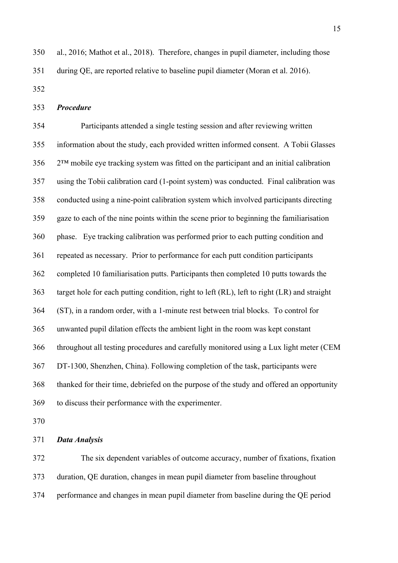350 al., 2016; Mathot et al., 2018). Therefore, changes in pupil diameter, including those 351 during QE, are reported relative to baseline pupil diameter (Moran et al. 2016).

352

353 *Procedure*

354 Participants attended a single testing session and after reviewing written 355 information about the study, each provided written informed consent. A Tobii Glasses 356 2™ mobile eye tracking system was fitted on the participant and an initial calibration 357 using the Tobii calibration card (1-point system) was conducted. Final calibration was 358 conducted using a nine-point calibration system which involved participants directing 359 gaze to each of the nine points within the scene prior to beginning the familiarisation 360 phase. Eye tracking calibration was performed prior to each putting condition and 361 repeated as necessary. Prior to performance for each putt condition participants 362 completed 10 familiarisation putts. Participants then completed 10 putts towards the 363 target hole for each putting condition, right to left (RL), left to right (LR) and straight 364 (ST), in a random order, with a 1-minute rest between trial blocks. To control for 365 unwanted pupil dilation effects the ambient light in the room was kept constant 366 throughout all testing procedures and carefully monitored using a Lux light meter (CEM 367 DT-1300, Shenzhen, China). Following completion of the task, participants were 368 thanked for their time, debriefed on the purpose of the study and offered an opportunity 369 to discuss their performance with the experimenter.

370

371 *Data Analysis*

372 The six dependent variables of outcome accuracy, number of fixations, fixation 373 duration, QE duration, changes in mean pupil diameter from baseline throughout 374 performance and changes in mean pupil diameter from baseline during the QE period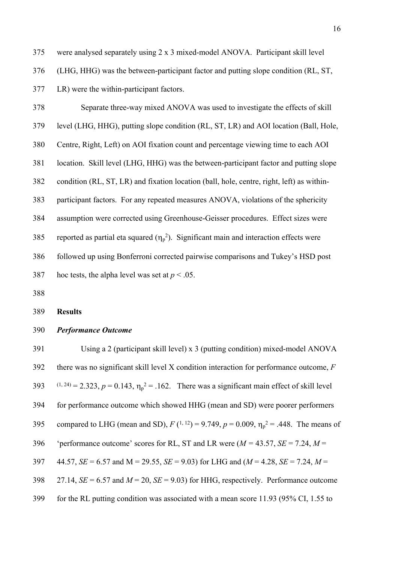- 376 (LHG, HHG) was the between-participant factor and putting slope condition (RL, ST, 377 LR) were the within-participant factors.
- 378 Separate three-way mixed ANOVA was used to investigate the effects of skill 379 level (LHG, HHG), putting slope condition (RL, ST, LR) and AOI location (Ball, Hole, 380 Centre, Right, Left) on AOI fixation count and percentage viewing time to each AOI 381 location. Skill level (LHG, HHG) was the between-participant factor and putting slope 382 condition (RL, ST, LR) and fixation location (ball, hole, centre, right, left) as within-383 participant factors. For any repeated measures ANOVA, violations of the sphericity 384 assumption were corrected using Greenhouse-Geisser procedures. Effect sizes were 385 reported as partial eta squared  $(\eta_p^2)$ . Significant main and interaction effects were 386 followed up using Bonferroni corrected pairwise comparisons and Tukey's HSD post 387 hoc tests, the alpha level was set at  $p < .05$ .
- 388

#### 389 **Results**

#### 390 *Performance Outcome*

391 Using a 2 (participant skill level) x 3 (putting condition) mixed-model ANOVA 392 there was no significant skill level X condition interaction for performance outcome, *F*  393 (1, 24) = 2.323,  $p = 0.143$ ,  $\eta_p^2 = 0.162$ . There was a significant main effect of skill level 394 for performance outcome which showed HHG (mean and SD) were poorer performers 395 compared to LHG (mean and SD),  $F(1, 12) = 9.749$ ,  $p = 0.009$ ,  $\eta_p^2 = .448$ . The means of 396 'performance outcome' scores for RL, ST and LR were  $(M = 43.57, SE = 7.24, M =$ 397 44.57, *SE* = 6.57 and M = 29.55, *SE* = 9.03) for LHG and (*M* = 4.28, *SE* = 7.24, *M* = 398 27.14,  $SE = 6.57$  and  $M = 20$ ,  $SE = 9.03$ ) for HHG, respectively. Performance outcome 399 for the RL putting condition was associated with a mean score 11.93 (95% CI, 1.55 to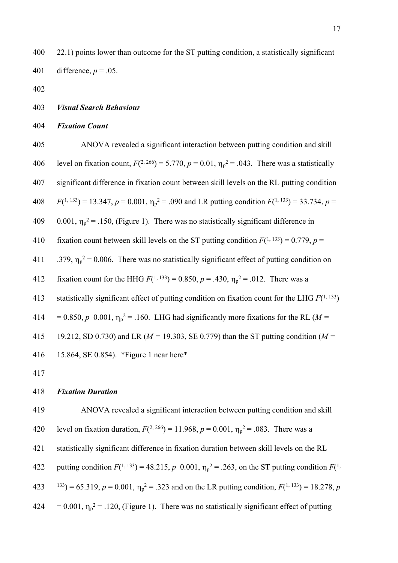400 22.1) points lower than outcome for the ST putting condition, a statistically significant 401 difference,  $p = .05$ .

- 402
- 403 *Visual Search Behaviour*
- 404 *Fixation Count*

405 ANOVA revealed a significant interaction between putting condition and skill 406 level on fixation count,  $F(^{2, 266}) = 5.770$ ,  $p = 0.01$ ,  $\eta_p^2 = .043$ . There was a statistically 407 significant difference in fixation count between skill levels on the RL putting condition 408 *F*( <sup>1, 133</sup>) = 13.347,  $p = 0.001$ ,  $\eta_p^2 = .090$  and LR putting condition  $F(^{1, 133}) = 33.734$ ,  $p =$ 409 0.001,  $\eta_p^2$  = .150, (Figure 1). There was no statistically significant difference in 410 fixation count between skill levels on the ST putting condition  $F(1, 133) = 0.779$ ,  $p =$ 411 .379,  $\eta_p^2 = 0.006$ . There was no statistically significant effect of putting condition on 412 fixation count for the HHG  $F(1, 133) = 0.850$ ,  $p = .430$ ,  $\eta_p^2 = .012$ . There was a 413 statistically significant effect of putting condition on fixation count for the LHG  $F(1, 133)$ 414 =  $0.850$ ,  $p \cdot 0.001$ ,  $\eta_p^2 = 0.160$ . LHG had significantly more fixations for the RL (*M* = 415 19.212, SD 0.730) and LR (*M =* 19.303, SE 0.779) than the ST putting condition (*M =*  416 15.864, SE 0.854). \*Figure 1 near here\* 417

418 *Fixation Duration*

419 ANOVA revealed a significant interaction between putting condition and skill 420 level on fixation duration,  $F(^{2, 266}) = 11.968$ ,  $p = 0.001$ ,  $\eta_p^2 = .083$ . There was a 421 statistically significant difference in fixation duration between skill levels on the RL 422 putting condition  $F(1, 133) = 48.215$ ,  $p \ 0.001$ ,  $\eta_p^2 = .263$ , on the ST putting condition  $F(1, 133)$  $(423 \quad 133) = 65.319, p = 0.001, \eta_p^2 = .323$  and on the LR putting condition,  $F(^{1, 133}) = 18.278, p$  $424 = 0.001$ ,  $\eta_p^2 = 0.120$ , (Figure 1). There was no statistically significant effect of putting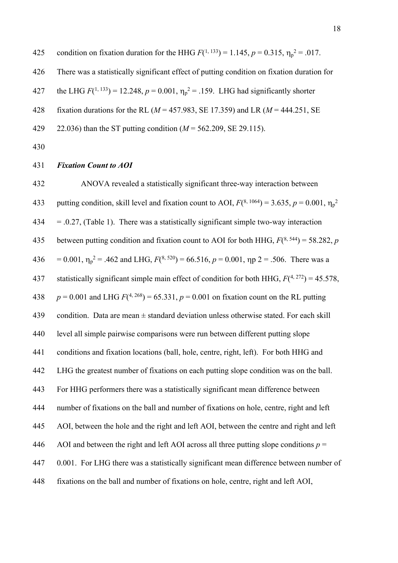425 condition on fixation duration for the HHG  $F(1, 133) = 1.145$ ,  $p = 0.315$ ,  $\eta_p^2 = .017$ . 426 There was a statistically significant effect of putting condition on fixation duration for 427 the LHG  $F(1, 133) = 12.248$ ,  $p = 0.001$ ,  $\eta_p^2 = 0.159$ . LHG had significantly shorter 428 fixation durations for the RL (*M* = 457.983, SE 17.359) and LR (*M* = 444.251, SE

- 429 22.036) than the ST putting condition (*M* = 562.209, SE 29.115).
- 430

#### 431 *Fixation Count to AOI*

432 ANOVA revealed a statistically significant three-way interaction between 433 putting condition, skill level and fixation count to AOI,  $F(^{8, 1064}) = 3.635$ ,  $p = 0.001$ ,  $\eta_p^2$  $434 = 0.27$ , (Table 1). There was a statistically significant simple two-way interaction 435 between putting condition and fixation count to AOI for both HHG,  $F(^{8, 544}) = 58.282$ , *p* 436 = 0.001,  $\eta_p^2$  = .462 and LHG,  $F(^{8, 520})$  = 66.516,  $p = 0.001$ ,  $\eta_p^2$  = .506. There was a 437 statistically significant simple main effect of condition for both HHG,  $F(^{4, 272}) = 45.578$ , 438  $p = 0.001$  and LHG  $F(^{4, 268}) = 65.331$ ,  $p = 0.001$  on fixation count on the RL putting 439 condition. Data are mean ± standard deviation unless otherwise stated. For each skill 440 level all simple pairwise comparisons were run between different putting slope 441 conditions and fixation locations (ball, hole, centre, right, left). For both HHG and 442 LHG the greatest number of fixations on each putting slope condition was on the ball. 443 For HHG performers there was a statistically significant mean difference between 444 number of fixations on the ball and number of fixations on hole, centre, right and left 445 AOI, between the hole and the right and left AOI, between the centre and right and left 446 AOI and between the right and left AOI across all three putting slope conditions  $p =$ 447 0.001. For LHG there was a statistically significant mean difference between number of 448 fixations on the ball and number of fixations on hole, centre, right and left AOI,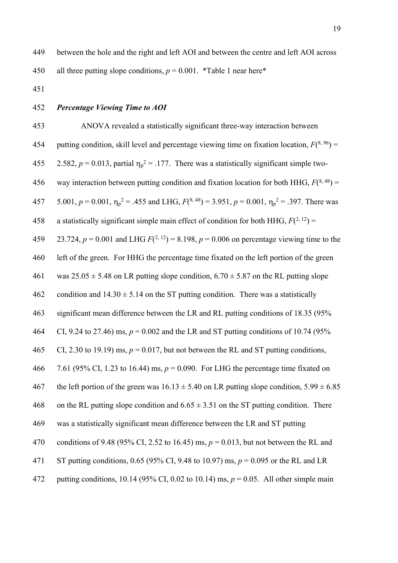- 451
- 452 *Percentage Viewing Time to AOI*

453 ANOVA revealed a statistically significant three-way interaction between 454 putting condition, skill level and percentage viewing time on fixation location,  $F(^{8, 96})$  = 455 2.582,  $p = 0.013$ , partial  $\eta_p^2 = 0.177$ . There was a statistically significant simple two-456 way interaction between putting condition and fixation location for both HHG,  $F(^{8,48})$  = 457 5.001,  $p = 0.001$ ,  $\eta_p^2 = .455$  and LHG,  $F(^{8,48}) = 3.951$ ,  $p = 0.001$ ,  $\eta_p^2 = .397$ . There was 458 a statistically significant simple main effect of condition for both HHG,  $F(^{2, 12}) =$ 459 23.724,  $p = 0.001$  and LHG  $F(^{2, 12}) = 8.198$ ,  $p = 0.006$  on percentage viewing time to the 460 left of the green. For HHG the percentage time fixated on the left portion of the green 461 was  $25.05 \pm 5.48$  on LR putting slope condition,  $6.70 \pm 5.87$  on the RL putting slope 462 condition and  $14.30 \pm 5.14$  on the ST putting condition. There was a statistically 463 significant mean difference between the LR and RL putting conditions of 18.35 (95% 464 CI, 9.24 to 27.46) ms, *p* = 0.002 and the LR and ST putting conditions of 10.74 (95% 465 CI, 2.30 to 19.19) ms,  $p = 0.017$ , but not between the RL and ST putting conditions, 466 7.61 (95% CI, 1.23 to 16.44) ms, *p* = 0.090. For LHG the percentage time fixated on 467 the left portion of the green was  $16.13 \pm 5.40$  on LR putting slope condition,  $5.99 \pm 6.85$ 468 on the RL putting slope condition and  $6.65 \pm 3.51$  on the ST putting condition. There 469 was a statistically significant mean difference between the LR and ST putting 470 conditions of 9.48 (95% CI, 2.52 to 16.45) ms, *p* = 0.013, but not between the RL and 471 ST putting conditions, 0.65 (95% CI, 9.48 to 10.97) ms, *p* = 0.095 or the RL and LR 472 putting conditions, 10.14 (95% CI, 0.02 to 10.14) ms, *p* = 0.05. All other simple main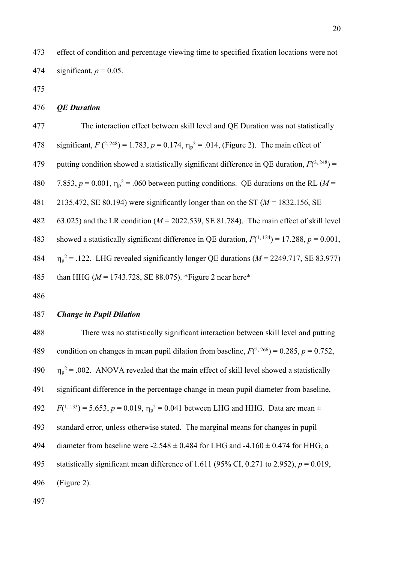473 effect of condition and percentage viewing time to specified fixation locations were not 474 significant,  $p = 0.05$ .

475

#### 476 *QE Duration*

| 477 | The interaction effect between skill level and QE Duration was not statistically                      |
|-----|-------------------------------------------------------------------------------------------------------|
| 478 | significant, $F(2, 248) = 1.783$ , $p = 0.174$ , $\eta_p^2 = .014$ , (Figure 2). The main effect of   |
| 479 | putting condition showed a statistically significant difference in QE duration, $F(^{2, 248})$ =      |
| 480 | 7.853, $p = 0.001$ , $\eta_p^2 = 0.000$ between putting conditions. QE durations on the RL (M =       |
| 481 | 2135.472, SE 80.194) were significantly longer than on the ST ( $M = 1832.156$ , SE                   |
| 482 | 63.025) and the LR condition ( $M = 2022.539$ , SE 81.784). The main effect of skill level            |
| 483 | showed a statistically significant difference in QE duration, $F(^{1, 124}) = 17.288$ , $p = 0.001$ , |
| 484 | $\eta_p^2$ = .122. LHG revealed significantly longer QE durations ( $M = 2249.717$ , SE 83.977)       |
| 485 | than HHG ( $M = 1743.728$ , SE 88.075). *Figure 2 near here*                                          |

486

#### 487 *Change in Pupil Dilation*

488 There was no statistically significant interaction between skill level and putting 489 condition on changes in mean pupil dilation from baseline,  $F(^{2, 266}) = 0.285$ ,  $p = 0.752$ , 490  $2 = 0.002$ . ANOVA revealed that the main effect of skill level showed a statistically 491 significant difference in the percentage change in mean pupil diameter from baseline, 492 *F*( <sup>1, 133</sup>) = 5.653,  $p = 0.019$ ,  $\eta_p^2 = 0.041$  between LHG and HHG. Data are mean  $\pm$ 493 standard error, unless otherwise stated. The marginal means for changes in pupil 494 diameter from baseline were  $-2.548 \pm 0.484$  for LHG and  $-4.160 \pm 0.474$  for HHG, a 495 statistically significant mean difference of 1.611 (95% CI, 0.271 to 2.952), *p* = 0.019, 496 (Figure 2).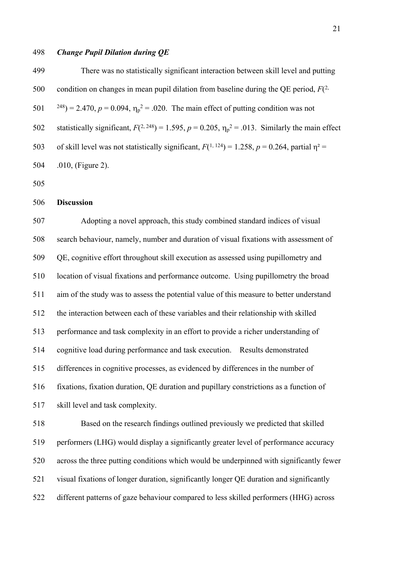#### 498 *Change Pupil Dilation during QE*

| 499 | There was no statistically significant interaction between skill level and putting                           |
|-----|--------------------------------------------------------------------------------------------------------------|
| 500 | condition on changes in mean pupil dilation from baseline during the QE period, $F^{(2)}$                    |
|     | 501 $^{248}$ ) = 2.470, p = 0.094, $\eta_p^2$ = .020. The main effect of putting condition was not           |
| 502 | statistically significant, $F(2, 248) = 1.595$ , $p = 0.205$ , $\eta_p^2 = .013$ . Similarly the main effect |
| 503 | of skill level was not statistically significant, $F(1, 124) = 1.258$ , $p = 0.264$ , partial $\eta^2 =$     |
| 504 | .010, (Figure 2).                                                                                            |

505

### 506 **Discussion**

507 Adopting a novel approach, this study combined standard indices of visual 508 search behaviour, namely, number and duration of visual fixations with assessment of 509 QE, cognitive effort throughout skill execution as assessed using pupillometry and 510 location of visual fixations and performance outcome. Using pupillometry the broad 511 aim of the study was to assess the potential value of this measure to better understand 512 the interaction between each of these variables and their relationship with skilled 513 performance and task complexity in an effort to provide a richer understanding of 514 cognitive load during performance and task execution. Results demonstrated 515 differences in cognitive processes, as evidenced by differences in the number of 516 fixations, fixation duration, QE duration and pupillary constrictions as a function of 517 skill level and task complexity.

518 Based on the research findings outlined previously we predicted that skilled 519 performers (LHG) would display a significantly greater level of performance accuracy 520 across the three putting conditions which would be underpinned with significantly fewer 521 visual fixations of longer duration, significantly longer QE duration and significantly 522 different patterns of gaze behaviour compared to less skilled performers (HHG) across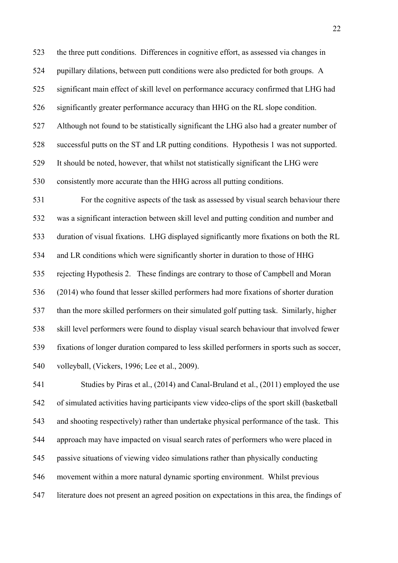523 the three putt conditions. Differences in cognitive effort, as assessed via changes in 524 pupillary dilations, between putt conditions were also predicted for both groups. A 525 significant main effect of skill level on performance accuracy confirmed that LHG had 526 significantly greater performance accuracy than HHG on the RL slope condition. 527 Although not found to be statistically significant the LHG also had a greater number of 528 successful putts on the ST and LR putting conditions. Hypothesis 1 was not supported. 529 It should be noted, however, that whilst not statistically significant the LHG were 530 consistently more accurate than the HHG across all putting conditions.

531 For the cognitive aspects of the task as assessed by visual search behaviour there 532 was a significant interaction between skill level and putting condition and number and 533 duration of visual fixations. LHG displayed significantly more fixations on both the RL 534 and LR conditions which were significantly shorter in duration to those of HHG 535 rejecting Hypothesis 2. These findings are contrary to those of Campbell and Moran 536 (2014) who found that lesser skilled performers had more fixations of shorter duration 537 than the more skilled performers on their simulated golf putting task. Similarly, higher 538 skill level performers were found to display visual search behaviour that involved fewer 539 fixations of longer duration compared to less skilled performers in sports such as soccer, 540 volleyball, (Vickers, 1996; Lee et al., 2009).

541 Studies by Piras et al., (2014) and Canal-Bruland et al., (2011) employed the use 542 of simulated activities having participants view video-clips of the sport skill (basketball 543 and shooting respectively) rather than undertake physical performance of the task. This 544 approach may have impacted on visual search rates of performers who were placed in 545 passive situations of viewing video simulations rather than physically conducting 546 movement within a more natural dynamic sporting environment. Whilst previous 547 literature does not present an agreed position on expectations in this area, the findings of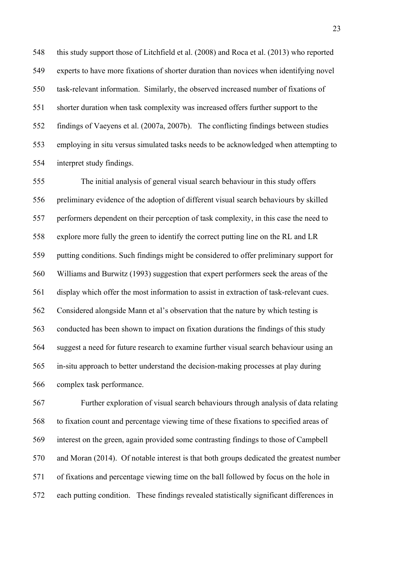548 this study support those of Litchfield et al. (2008) and Roca et al. (2013) who reported 549 experts to have more fixations of shorter duration than novices when identifying novel 550 task-relevant information. Similarly, the observed increased number of fixations of 551 shorter duration when task complexity was increased offers further support to the 552 findings of Vaeyens et al. (2007a, 2007b). The conflicting findings between studies 553 employing in situ versus simulated tasks needs to be acknowledged when attempting to 554 interpret study findings.

555 The initial analysis of general visual search behaviour in this study offers 556 preliminary evidence of the adoption of different visual search behaviours by skilled 557 performers dependent on their perception of task complexity, in this case the need to 558 explore more fully the green to identify the correct putting line on the RL and LR 559 putting conditions. Such findings might be considered to offer preliminary support for 560 Williams and Burwitz (1993) suggestion that expert performers seek the areas of the 561 display which offer the most information to assist in extraction of task-relevant cues. 562 Considered alongside Mann et al's observation that the nature by which testing is 563 conducted has been shown to impact on fixation durations the findings of this study 564 suggest a need for future research to examine further visual search behaviour using an 565 in-situ approach to better understand the decision-making processes at play during 566 complex task performance.

567 Further exploration of visual search behaviours through analysis of data relating 568 to fixation count and percentage viewing time of these fixations to specified areas of 569 interest on the green, again provided some contrasting findings to those of Campbell 570 and Moran (2014). Of notable interest is that both groups dedicated the greatest number 571 of fixations and percentage viewing time on the ball followed by focus on the hole in 572 each putting condition. These findings revealed statistically significant differences in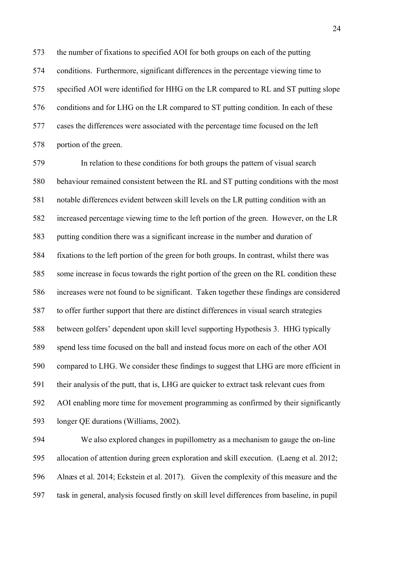573 the number of fixations to specified AOI for both groups on each of the putting 574 conditions. Furthermore, significant differences in the percentage viewing time to 575 specified AOI were identified for HHG on the LR compared to RL and ST putting slope 576 conditions and for LHG on the LR compared to ST putting condition. In each of these 577 cases the differences were associated with the percentage time focused on the left 578 portion of the green.

579 In relation to these conditions for both groups the pattern of visual search 580 behaviour remained consistent between the RL and ST putting conditions with the most 581 notable differences evident between skill levels on the LR putting condition with an 582 increased percentage viewing time to the left portion of the green. However, on the LR 583 putting condition there was a significant increase in the number and duration of 584 fixations to the left portion of the green for both groups. In contrast, whilst there was 585 some increase in focus towards the right portion of the green on the RL condition these 586 increases were not found to be significant. Taken together these findings are considered 587 to offer further support that there are distinct differences in visual search strategies 588 between golfers' dependent upon skill level supporting Hypothesis 3. HHG typically 589 spend less time focused on the ball and instead focus more on each of the other AOI 590 compared to LHG. We consider these findings to suggest that LHG are more efficient in 591 their analysis of the putt, that is, LHG are quicker to extract task relevant cues from 592 AOI enabling more time for movement programming as confirmed by their significantly 593 longer QE durations (Williams, 2002).

594 We also explored changes in pupillometry as a mechanism to gauge the on-line 595 allocation of attention during green exploration and skill execution. (Laeng et al. 2012; 596 Alnæs et al. 2014; Eckstein et al. 2017). Given the complexity of this measure and the 597 task in general, analysis focused firstly on skill level differences from baseline, in pupil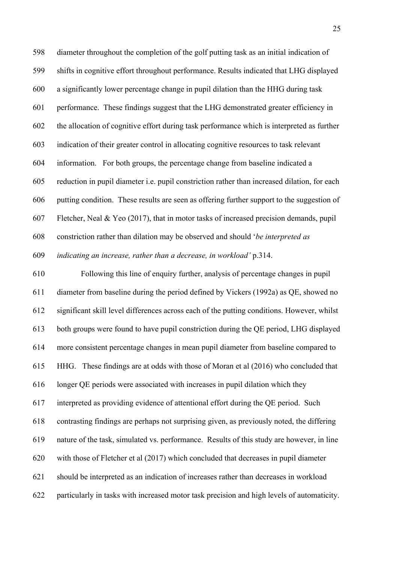598 diameter throughout the completion of the golf putting task as an initial indication of 599 shifts in cognitive effort throughout performance. Results indicated that LHG displayed 600 a significantly lower percentage change in pupil dilation than the HHG during task 601 performance. These findings suggest that the LHG demonstrated greater efficiency in 602 the allocation of cognitive effort during task performance which is interpreted as further 603 indication of their greater control in allocating cognitive resources to task relevant 604 information. For both groups, the percentage change from baseline indicated a 605 reduction in pupil diameter i.e. pupil constriction rather than increased dilation, for each 606 putting condition. These results are seen as offering further support to the suggestion of 607 Fletcher, Neal & Yeo (2017), that in motor tasks of increased precision demands, pupil 608 constriction rather than dilation may be observed and should '*be interpreted as*  609 *indicating an increase, rather than a decrease, in workload'* p.314.

610 Following this line of enquiry further, analysis of percentage changes in pupil 611 diameter from baseline during the period defined by Vickers (1992a) as QE, showed no 612 significant skill level differences across each of the putting conditions. However, whilst 613 both groups were found to have pupil constriction during the QE period, LHG displayed 614 more consistent percentage changes in mean pupil diameter from baseline compared to 615 HHG. These findings are at odds with those of Moran et al (2016) who concluded that 616 longer QE periods were associated with increases in pupil dilation which they 617 interpreted as providing evidence of attentional effort during the QE period. Such 618 contrasting findings are perhaps not surprising given, as previously noted, the differing 619 nature of the task, simulated vs. performance. Results of this study are however, in line 620 with those of Fletcher et al (2017) which concluded that decreases in pupil diameter 621 should be interpreted as an indication of increases rather than decreases in workload 622 particularly in tasks with increased motor task precision and high levels of automaticity.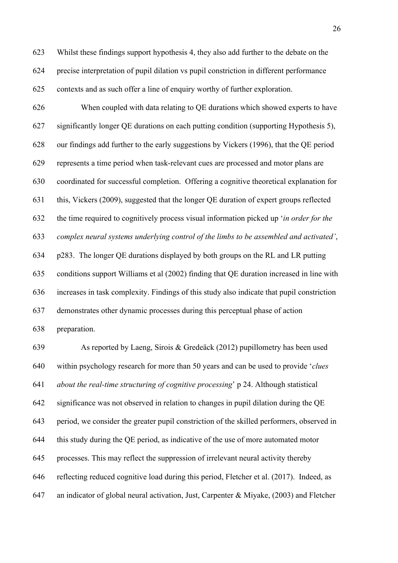623 Whilst these findings support hypothesis 4, they also add further to the debate on the 624 precise interpretation of pupil dilation vs pupil constriction in different performance 625 contexts and as such offer a line of enquiry worthy of further exploration.

626 When coupled with data relating to QE durations which showed experts to have 627 significantly longer QE durations on each putting condition (supporting Hypothesis 5), 628 our findings add further to the early suggestions by Vickers (1996), that the QE period 629 represents a time period when task-relevant cues are processed and motor plans are 630 coordinated for successful completion. Offering a cognitive theoretical explanation for 631 this, Vickers (2009), suggested that the longer QE duration of expert groups reflected 632 the time required to cognitively process visual information picked up '*in order for the*  633 *complex neural systems underlying control of the limbs to be assembled and activated'*, 634 p283. The longer QE durations displayed by both groups on the RL and LR putting 635 conditions support Williams et al (2002) finding that QE duration increased in line with 636 increases in task complexity. Findings of this study also indicate that pupil constriction 637 demonstrates other dynamic processes during this perceptual phase of action

638 preparation.

639 As reported by Laeng, Sirois & Gredeäck (2012) pupillometry has been used 640 within psychology research for more than 50 years and can be used to provide '*clues*  641 *about the real-time structuring of cognitive processing*' p 24. Although statistical 642 significance was not observed in relation to changes in pupil dilation during the QE 643 period, we consider the greater pupil constriction of the skilled performers, observed in 644 this study during the QE period, as indicative of the use of more automated motor 645 processes. This may reflect the suppression of irrelevant neural activity thereby 646 reflecting reduced cognitive load during this period, Fletcher et al. (2017). Indeed, as 647 an indicator of global neural activation, Just, Carpenter & Miyake, (2003) and Fletcher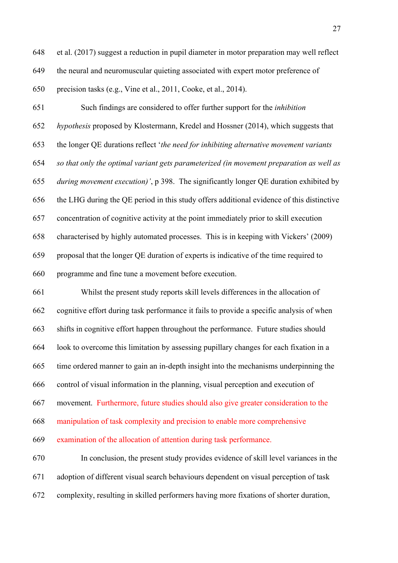648 et al. (2017) suggest a reduction in pupil diameter in motor preparation may well reflect 649 the neural and neuromuscular quieting associated with expert motor preference of 650 precision tasks (e.g., Vine et al., 2011, Cooke, et al., 2014).

651 Such findings are considered to offer further support for the *inhibition*  652 *hypothesis* proposed by Klostermann, Kredel and Hossner (2014), which suggests that 653 the longer QE durations reflect '*the need for inhibiting alternative movement variants*  654 *so that only the optimal variant gets parameterized (in movement preparation as well as*  655 *during movement execution)'*, p 398. The significantly longer QE duration exhibited by 656 the LHG during the QE period in this study offers additional evidence of this distinctive 657 concentration of cognitive activity at the point immediately prior to skill execution 658 characterised by highly automated processes. This is in keeping with Vickers' (2009) 659 proposal that the longer QE duration of experts is indicative of the time required to 660 programme and fine tune a movement before execution.

661 Whilst the present study reports skill levels differences in the allocation of 662 cognitive effort during task performance it fails to provide a specific analysis of when 663 shifts in cognitive effort happen throughout the performance. Future studies should 664 look to overcome this limitation by assessing pupillary changes for each fixation in a 665 time ordered manner to gain an in-depth insight into the mechanisms underpinning the 666 control of visual information in the planning, visual perception and execution of 667 movement. Furthermore, future studies should also give greater consideration to the 668 manipulation of task complexity and precision to enable more comprehensive 669 examination of the allocation of attention during task performance. 670 In conclusion, the present study provides evidence of skill level variances in the

671 adoption of different visual search behaviours dependent on visual perception of task

672 complexity, resulting in skilled performers having more fixations of shorter duration,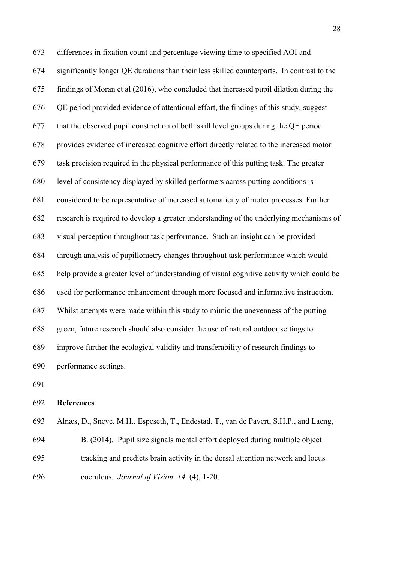673 differences in fixation count and percentage viewing time to specified AOI and 674 significantly longer QE durations than their less skilled counterparts. In contrast to the 675 findings of Moran et al (2016), who concluded that increased pupil dilation during the 676 QE period provided evidence of attentional effort, the findings of this study, suggest 677 that the observed pupil constriction of both skill level groups during the QE period 678 provides evidence of increased cognitive effort directly related to the increased motor 679 task precision required in the physical performance of this putting task. The greater 680 level of consistency displayed by skilled performers across putting conditions is 681 considered to be representative of increased automaticity of motor processes. Further 682 research is required to develop a greater understanding of the underlying mechanisms of 683 visual perception throughout task performance. Such an insight can be provided 684 through analysis of pupillometry changes throughout task performance which would 685 help provide a greater level of understanding of visual cognitive activity which could be 686 used for performance enhancement through more focused and informative instruction. 687 Whilst attempts were made within this study to mimic the unevenness of the putting 688 green, future research should also consider the use of natural outdoor settings to 689 improve further the ecological validity and transferability of research findings to 690 performance settings.

691

#### 692 **References**

693 Alnæs, D., Sneve, M.H., Espeseth, T., Endestad, T., van de Pavert, S.H.P., and Laeng, 694 B. (2014). Pupil size signals mental effort deployed during multiple object 695 tracking and predicts brain activity in the dorsal attention network and locus 696 coeruleus. *Journal of Vision, 14,* (4), 1-20.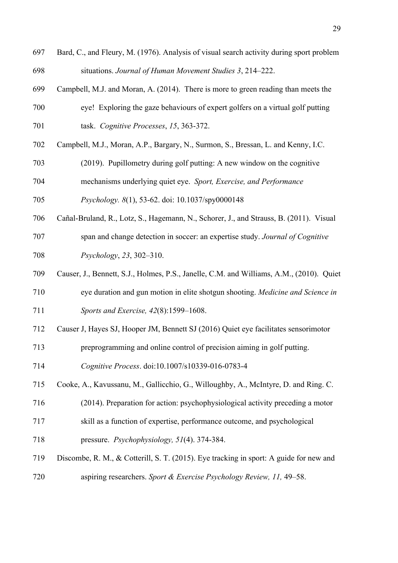- 697 Bard, C., and Fleury, M. (1976). Analysis of visual search activity during sport problem 698 situations. *Journal of Human Movement Studies 3*, 214–222.
- 699 Campbell, M.J. and Moran, A. (2014). There is more to green reading than meets the
- 700 eye! Exploring the gaze behaviours of expert golfers on a virtual golf putting 701 task. *Cognitive Processes*, *15*, 363-372.
- 702 Campbell, M.J., Moran, A.P., Bargary, N., Surmon, S., Bressan, L. and Kenny, I.C.
- 703 (2019). Pupillometry during golf putting: A new window on the cognitive
- 704 mechanisms underlying quiet eye. *Sport, Exercise, and Performance*
- 705 *Psychology. 8*(1), 53-62. doi: 10.1037/spy0000148
- 706 Cañal-Bruland, R., Lotz, S., Hagemann, N., Schorer, J., and Strauss, B. (2011). Visual 707 span and change detection in soccer: an expertise study. *Journal of Cognitive*  708 *Psychology*, *23*, 302–310.
- 709 Causer, J., Bennett, S.J., Holmes, P.S., Janelle, C.M. and Williams, A.M., (2010). Quiet 710 eye duration and gun motion in elite shotgun shooting. *Medicine and Science in*  711 *Sports and Exercise, 42*(8):1599–1608.
- 712 Causer J, Hayes SJ, Hooper JM, Bennett SJ (2016) Quiet eye facilitates sensorimotor
- 713 preprogramming and online control of precision aiming in golf putting.
- 714 *Cognitive Process*. doi:10.1007/s10339-016-0783-4
- 715 Cooke, A., Kavussanu, M., Gallicchio, G., Willoughby, A., McIntyre, D. and Ring. C.
- 716 (2014). Preparation for action: psychophysiological activity preceding a motor
- 717 skill as a function of expertise, performance outcome, and psychological
- 718 pressure. *Psychophysiology, 51*(4). 374-384.
- 719 Discombe, R. M., & Cotterill, S. T. (2015). Eye tracking in sport: A guide for new and 720 aspiring researchers. *Sport & Exercise Psychology Review, 11,* 49–58.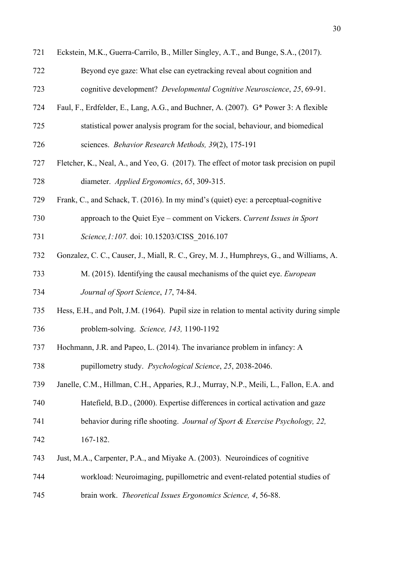| 721 | Eckstein, M.K., Guerra-Carrilo, B., Miller Singley, A.T., and Bunge, S.A., (2017).         |
|-----|--------------------------------------------------------------------------------------------|
| 722 | Beyond eye gaze: What else can eyetracking reveal about cognition and                      |
| 723 | cognitive development? Developmental Cognitive Neuroscience, 25, 69-91.                    |
| 724 | Faul, F., Erdfelder, E., Lang, A.G., and Buchner, A. (2007). G* Power 3: A flexible        |
| 725 | statistical power analysis program for the social, behaviour, and biomedical               |
| 726 | sciences. Behavior Research Methods, 39(2), 175-191                                        |
| 727 | Fletcher, K., Neal, A., and Yeo, G. (2017). The effect of motor task precision on pupil    |
| 728 | diameter. Applied Ergonomics, 65, 309-315.                                                 |
| 729 | Frank, C., and Schack, T. (2016). In my mind's (quiet) eye: a perceptual-cognitive         |
| 730 | approach to the Quiet Eye – comment on Vickers. Current Issues in Sport                    |
| 731 | Science, 1:107. doi: 10.15203/CISS_2016.107                                                |
| 732 | Gonzalez, C. C., Causer, J., Miall, R. C., Grey, M. J., Humphreys, G., and Williams, A.    |
| 733 | M. (2015). Identifying the causal mechanisms of the quiet eye. European                    |
| 734 | Journal of Sport Science, 17, 74-84.                                                       |
| 735 | Hess, E.H., and Polt, J.M. (1964). Pupil size in relation to mental activity during simple |
| 736 | problem-solving. Science, 143, 1190-1192                                                   |
| 737 | Hochmann, J.R. and Papeo, L. (2014). The invariance problem in infancy: A                  |
| 738 | pupillometry study. Psychological Science, 25, 2038-2046.                                  |
| 739 | Janelle, C.M., Hillman, C.H., Apparies, R.J., Murray, N.P., Meili, L., Fallon, E.A. and    |
| 740 | Hatefield, B.D., (2000). Expertise differences in cortical activation and gaze             |
| 741 | behavior during rifle shooting. Journal of Sport & Exercise Psychology, 22,                |
| 742 | 167-182.                                                                                   |
| 743 | Just, M.A., Carpenter, P.A., and Miyake A. (2003). Neuroindices of cognitive               |
| 744 | workload: Neuroimaging, pupillometric and event-related potential studies of               |
| 745 | brain work. Theoretical Issues Ergonomics Science, 4, 56-88.                               |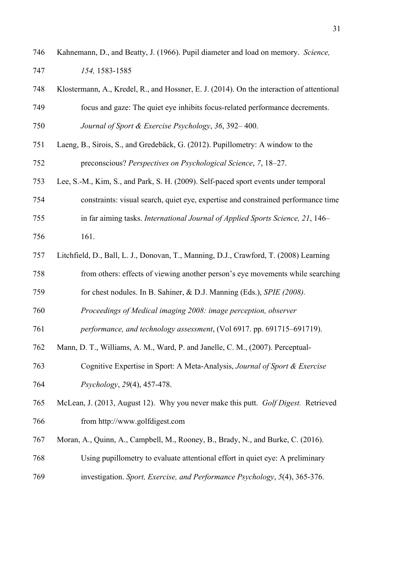| 746 | Kahnemann, D., and Beatty, J. (1966). Pupil diameter and load on memory. Science, |
|-----|-----------------------------------------------------------------------------------|
| 747 | 154, 1583-1585                                                                    |

- 748 Klostermann, A., Kredel, R., and Hossner, E. J. (2014). On the interaction of attentional 749 focus and gaze: The quiet eye inhibits focus-related performance decrements. 750 *Journal of Sport & Exercise Psychology*, *36*, 392– 400.
- 751 Laeng, B., Sirois, S., and Gredebäck, G. (2012). Pupillometry: A window to the 752 preconscious? *Perspectives on Psychological Science*, *7*, 18–27.
- 753 Lee, S.-M., Kim, S., and Park, S. H. (2009). Self-paced sport events under temporal
- 754 constraints: visual search, quiet eye, expertise and constrained performance time
- 755 in far aiming tasks. *International Journal of Applied Sports Science, 21*, 146–
- 756 161.
- 757 Litchfield, D., Ball, L. J., Donovan, T., Manning, D.J., Crawford, T. (2008) Learning
- 758 from others: effects of viewing another person's eye movements while searching
- 759 for chest nodules. In B. Sahiner, & D.J. Manning (Eds.), *SPIE (2008).*
- 760 *Proceedings of Medical imaging 2008: image perception, observer*
- 761 *performance, and technology assessment*, (Vol 6917. pp. 691715–691719).
- 762 Mann, D. T., Williams, A. M., Ward, P. and Janelle, C. M., (2007). Perceptual-
- 763 Cognitive Expertise in Sport: A Meta-Analysis, *Journal of Sport & Exercise*  764 *Psychology*, *29*(4), 457-478.
- 765 McLean, J. (2013, August 12). Why you never make this putt. *Golf Digest.* Retrieved 766 from http://www.golfdigest.com
- 767 Moran, A., Quinn, A., Campbell, M., Rooney, B., Brady, N., and Burke, C. (2016).
- 768 Using pupillometry to evaluate attentional effort in quiet eye: A preliminary
- 769 investigation. *Sport, Exercise, and Performance Psychology*, *5*(4), 365-376.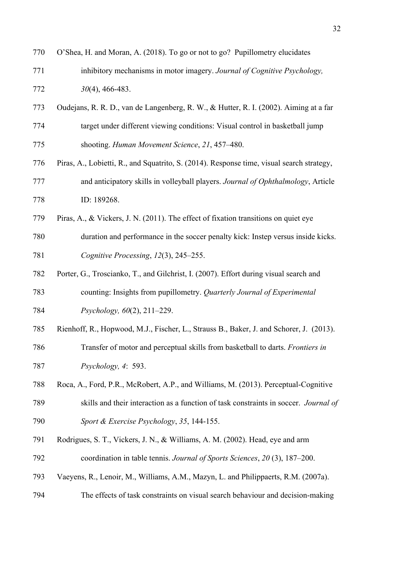| 770 | O'Shea, H. and Moran, A. (2018). To go or not to go? Pupillometry elucidates              |
|-----|-------------------------------------------------------------------------------------------|
| 771 | inhibitory mechanisms in motor imagery. Journal of Cognitive Psychology,                  |
| 772 | $30(4)$ , 466-483.                                                                        |
| 773 | Oudejans, R. R. D., van de Langenberg, R. W., & Hutter, R. I. (2002). Aiming at a far     |
| 774 | target under different viewing conditions: Visual control in basketball jump              |
| 775 | shooting. Human Movement Science, 21, 457-480.                                            |
| 776 | Piras, A., Lobietti, R., and Squatrito, S. (2014). Response time, visual search strategy, |
| 777 | and anticipatory skills in volleyball players. Journal of Ophthalmology, Article          |
| 778 | ID: 189268.                                                                               |
| 779 | Piras, A., & Vickers, J. N. (2011). The effect of fixation transitions on quiet eye       |
| 780 | duration and performance in the soccer penalty kick: Instep versus inside kicks.          |
| 781 | Cognitive Processing, 12(3), 245-255.                                                     |
| 782 | Porter, G., Troscianko, T., and Gilchrist, I. (2007). Effort during visual search and     |
| 783 | counting: Insights from pupillometry. Quarterly Journal of Experimental                   |
| 784 | Psychology, 60(2), 211-229.                                                               |
| 785 | Rienhoff, R., Hopwood, M.J., Fischer, L., Strauss B., Baker, J. and Schorer, J. (2013).   |
| 786 | Transfer of motor and perceptual skills from basketball to darts. <i>Frontiers in</i>     |
| 787 | Psychology, 4: 593.                                                                       |
| 788 | Roca, A., Ford, P.R., McRobert, A.P., and Williams, M. (2013). Perceptual-Cognitive       |
| 789 | skills and their interaction as a function of task constraints in soccer. Journal of      |
| 790 | Sport & Exercise Psychology, 35, 144-155.                                                 |
| 791 | Rodrigues, S. T., Vickers, J. N., & Williams, A. M. (2002). Head, eye and arm             |
| 792 | coordination in table tennis. Journal of Sports Sciences, 20 (3), 187–200.                |
| 793 | Vaeyens, R., Lenoir, M., Williams, A.M., Mazyn, L. and Philippaerts, R.M. (2007a).        |
| 794 | The effects of task constraints on visual search behaviour and decision-making            |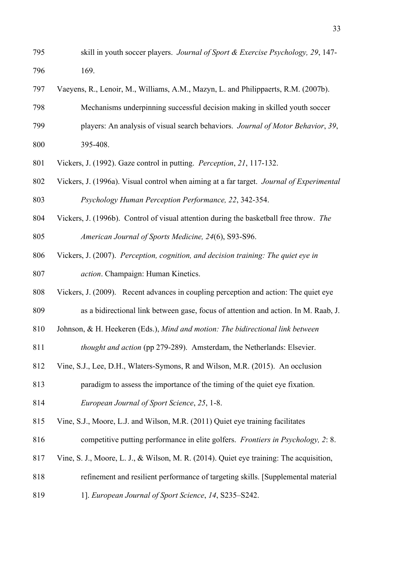- 795 skill in youth soccer players. *Journal of Sport & Exercise Psychology, 29*, 147- 796 169.
- 797 Vaeyens, R., Lenoir, M., Williams, A.M., Mazyn, L. and Philippaerts, R.M. (2007b).
- 798 Mechanisms underpinning successful decision making in skilled youth soccer
- 799 players: An analysis of visual search behaviors. *Journal of Motor Behavior*, *39*, 800 395-408.
- 801 Vickers, J. (1992). Gaze control in putting. *Perception*, *21*, 117-132.
- 802 Vickers, J. (1996a). Visual control when aiming at a far target. *Journal of Experimental*  803 *Psychology Human Perception Performance, 22*, 342-354.
- 804 Vickers, J. (1996b). Control of visual attention during the basketball free throw. *The*  805 *American Journal of Sports Medicine, 24*(6), S93-S96.
- 806 Vickers, J. (2007). *Perception, cognition, and decision training: The quiet eye in*
- 807 *action*. Champaign: Human Kinetics.

808 Vickers, J. (2009). Recent advances in coupling perception and action: The quiet eye 809 as a bidirectional link between gase, focus of attention and action. In M. Raab, J.

- 810 Johnson, & H. Heekeren (Eds.), *Mind and motion: The bidirectional link between*
- 811 *thought and action* (pp 279-289). Amsterdam, the Netherlands: Elsevier.
- 812 Vine, S.J., Lee, D.H., Wlaters-Symons, R and Wilson, M.R. (2015). An occlusion

813 paradigm to assess the importance of the timing of the quiet eye fixation.

- 814 *European Journal of Sport Science*, *25*, 1-8.
- 815 Vine, S.J., Moore, L.J. and Wilson, M.R. (2011) Quiet eye training facilitates
- 816 competitive putting performance in elite golfers. *Frontiers in Psychology, 2*: 8.
- 817 Vine, S. J., Moore, L. J., & Wilson, M. R. (2014). Quiet eye training: The acquisition,
- 818 refinement and resilient performance of targeting skills. [Supplemental material
- 819 1]. *European Journal of Sport Science*, *14*, S235–S242.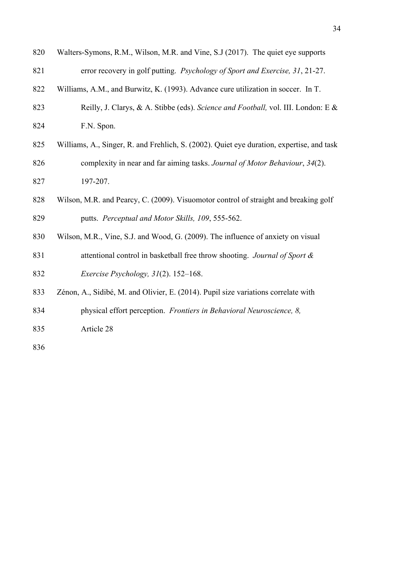| 820 | Walters-Symons, R.M., Wilson, M.R. and Vine, S.J (2017). The quiet eye supports           |
|-----|-------------------------------------------------------------------------------------------|
| 821 | error recovery in golf putting. Psychology of Sport and Exercise, 31, 21-27.              |
| 822 | Williams, A.M., and Burwitz, K. (1993). Advance cure utilization in soccer. In T.         |
| 823 | Reilly, J. Clarys, & A. Stibbe (eds). Science and Football, vol. III. London: E &         |
| 824 | F.N. Spon.                                                                                |
| 825 | Williams, A., Singer, R. and Frehlich, S. (2002). Quiet eye duration, expertise, and task |
| 826 | complexity in near and far aiming tasks. Journal of Motor Behaviour, 34(2).               |
| 827 | 197-207.                                                                                  |
| 828 | Wilson, M.R. and Pearcy, C. (2009). Visuomotor control of straight and breaking golf      |
| 829 | putts. Perceptual and Motor Skills, 109, 555-562.                                         |
| 830 | Wilson, M.R., Vine, S.J. and Wood, G. (2009). The influence of anxiety on visual          |
| 831 | attentional control in basketball free throw shooting. Journal of Sport &                 |
| 832 | Exercise Psychology, 31(2). 152-168.                                                      |
| 833 | Zénon, A., Sidibé, M. and Olivier, E. (2014). Pupil size variations correlate with        |
| 834 | physical effort perception. Frontiers in Behavioral Neuroscience, 8,                      |
| 835 | Article 28                                                                                |
| 836 |                                                                                           |
|     |                                                                                           |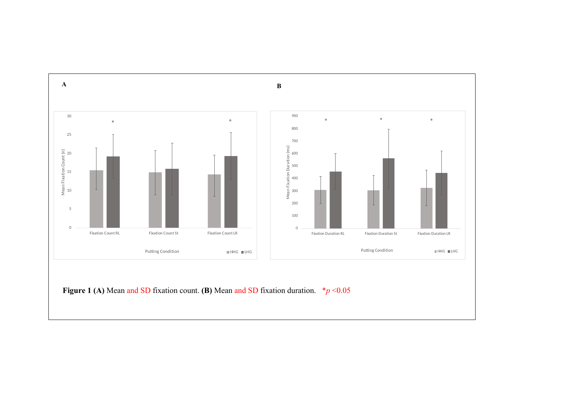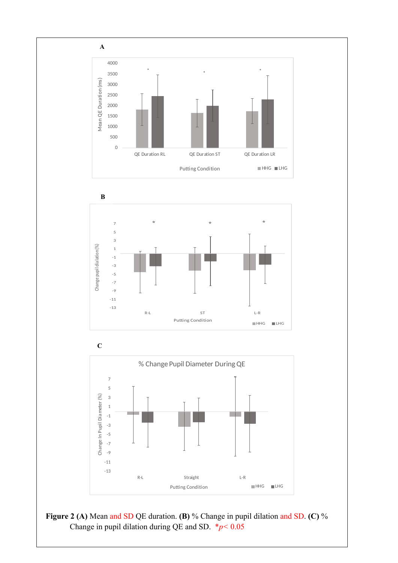







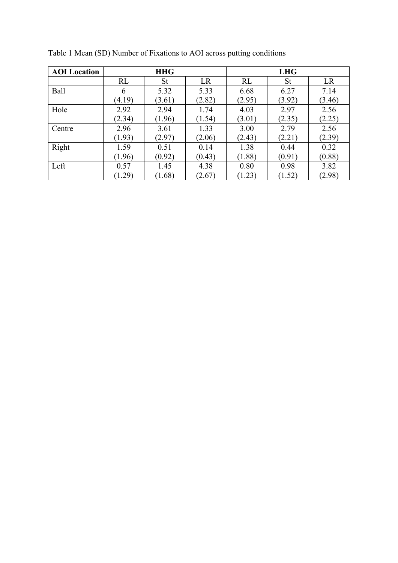| <b>AOI</b> Location | <b>HHG</b> |           |        | <b>LHG</b> |        |        |
|---------------------|------------|-----------|--------|------------|--------|--------|
|                     | RL         | <b>St</b> | LR     | <b>RL</b>  | St     | LR     |
| Ball                | 6          | 5.32      | 5.33   | 6.68       | 6.27   | 7.14   |
|                     | (4.19)     | (3.61)    | (2.82) | (2.95)     | (3.92) | (3.46) |
| Hole                | 2.92       | 2.94      | 1.74   | 4.03       | 2.97   | 2.56   |
|                     | (2.34)     | (1.96)    | (1.54) | (3.01)     | (2.35) | (2.25) |
| Centre              | 2.96       | 3.61      | 1.33   | 3.00       | 2.79   | 2.56   |
|                     | (1.93)     | (2.97)    | (2.06) | (2.43)     | (2.21) | (2.39) |
| Right               | 1.59       | 0.51      | 0.14   | 1.38       | 0.44   | 0.32   |
|                     | (1.96)     | (0.92)    | (0.43) | (1.88)     | (0.91) | (0.88) |
| Left                | 0.57       | 1.45      | 4.38   | 0.80       | 0.98   | 3.82   |
|                     | (1.29)     | (1.68)    | (2.67) | (1.23)     | (1.52) | (2.98) |

Table 1 Mean (SD) Number of Fixations to AOI across putting conditions